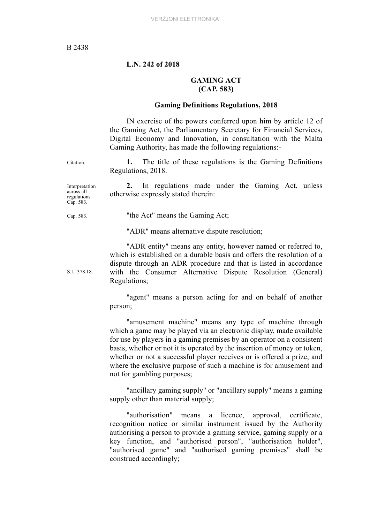### **L.N. 242 of 2018**

## **GAMING ACT (CAP. 583)**

### **Gaming Definitions Regulations, 2018**

IN exercise of the powers conferred upon him by article 12 of the Gaming Act, the Parliamentary Secretary for Financial Services, Digital Economy and Innovation, in consultation with the Malta Gaming Authority, has made the following regulations:-

Citation. **1.** The title of these regulations is the Gaming Definitions Regulations, 2018.

**2.** In regulations made under the Gaming Act, unless

Interpretation across all regulations. Cap. 583.

Cap. 583. "the Act" means the Gaming Act;

otherwise expressly stated therein:

"ADR" means alternative dispute resolution;

"ADR entity" means any entity, however named or referred to, which is established on a durable basis and offers the resolution of a dispute through an ADR procedure and that is listed in accordance with the Consumer Alternative Dispute Resolution (General) Regulations;

"agent" means a person acting for and on behalf of another person;

"amusement machine" means any type of machine through which a game may be played via an electronic display, made available for use by players in a gaming premises by an operator on a consistent basis, whether or not it is operated by the insertion of money or token, whether or not a successful player receives or is offered a prize, and where the exclusive purpose of such a machine is for amusement and not for gambling purposes;

"ancillary gaming supply" or "ancillary supply" means a gaming supply other than material supply;

"authorisation" means a licence, approval, certificate, recognition notice or similar instrument issued by the Authority authorising a person to provide a gaming service, gaming supply or a key function, and "authorised person", "authorisation holder", "authorised game" and "authorised gaming premises" shall be construed accordingly;

S.L. 378.18.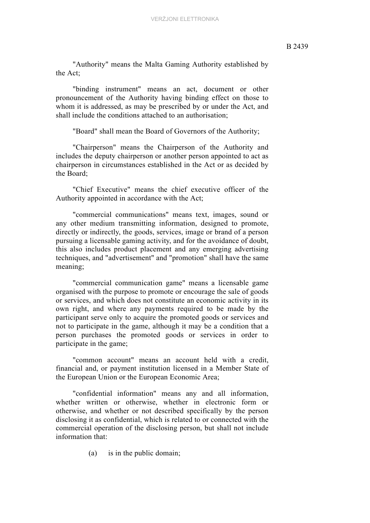"Authority" means the Malta Gaming Authority established by the Act;

"binding instrument" means an act, document or other pronouncement of the Authority having binding effect on those to whom it is addressed, as may be prescribed by or under the Act, and shall include the conditions attached to an authorisation;

"Board" shall mean the Board of Governors of the Authority;

"Chairperson" means the Chairperson of the Authority and includes the deputy chairperson or another person appointed to act as chairperson in circumstances established in the Act or as decided by the Board;

"Chief Executive" means the chief executive officer of the Authority appointed in accordance with the Act;

"commercial communications" means text, images, sound or any other medium transmitting information, designed to promote, directly or indirectly, the goods, services, image or brand of a person pursuing a licensable gaming activity, and for the avoidance of doubt, this also includes product placement and any emerging advertising techniques, and "advertisement" and "promotion" shall have the same meaning;

"commercial communication game" means a licensable game organised with the purpose to promote or encourage the sale of goods or services, and which does not constitute an economic activity in its own right, and where any payments required to be made by the participant serve only to acquire the promoted goods or services and not to participate in the game, although it may be a condition that a person purchases the promoted goods or services in order to participate in the game;

"common account" means an account held with a credit, financial and, or payment institution licensed in a Member State of the European Union or the European Economic Area;

"confidential information" means any and all information, whether written or otherwise, whether in electronic form or otherwise, and whether or not described specifically by the person disclosing it as confidential, which is related to or connected with the commercial operation of the disclosing person, but shall not include information that:

(a) is in the public domain;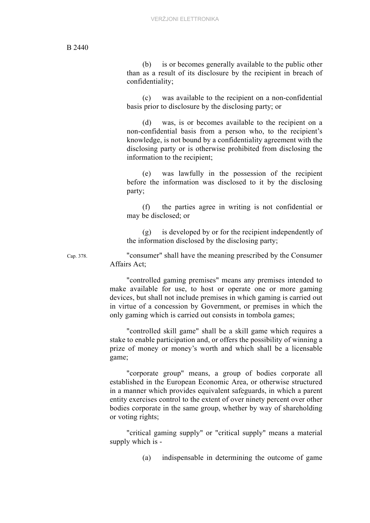(b) is or becomes generally available to the public other than as a result of its disclosure by the recipient in breach of confidentiality;

(c) was available to the recipient on a non-confidential basis prior to disclosure by the disclosing party; or

(d) was, is or becomes available to the recipient on a non-confidential basis from a person who, to the recipient's knowledge, is not bound by a confidentiality agreement with the disclosing party or is otherwise prohibited from disclosing the information to the recipient;

(e) was lawfully in the possession of the recipient before the information was disclosed to it by the disclosing party;

(f) the parties agree in writing is not confidential or may be disclosed; or

(g) is developed by or for the recipient independently of the information disclosed by the disclosing party;

Cap. 378. "consumer" shall have the meaning prescribed by the Consumer Affairs Act;

> "controlled gaming premises" means any premises intended to make available for use, to host or operate one or more gaming devices, but shall not include premises in which gaming is carried out in virtue of a concession by Government, or premises in which the only gaming which is carried out consists in tombola games;

> "controlled skill game" shall be a skill game which requires a stake to enable participation and, or offers the possibility of winning a prize of money or money's worth and which shall be a licensable game;

> "corporate group" means, a group of bodies corporate all established in the European Economic Area, or otherwise structured in a manner which provides equivalent safeguards, in which a parent entity exercises control to the extent of over ninety percent over other bodies corporate in the same group, whether by way of shareholding or voting rights;

> "critical gaming supply" or "critical supply" means a material supply which is -

> > (a) indispensable in determining the outcome of game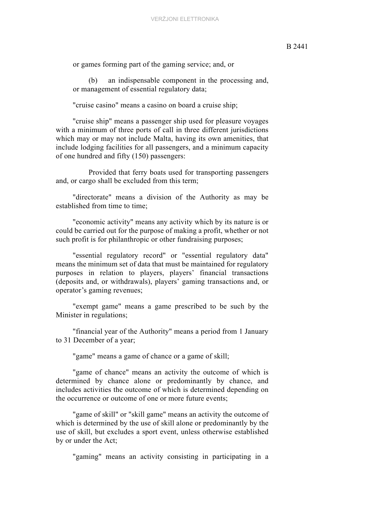or games forming part of the gaming service; and, or

(b) an indispensable component in the processing and, or management of essential regulatory data;

"cruise casino" means a casino on board a cruise ship;

"cruise ship" means a passenger ship used for pleasure voyages with a minimum of three ports of call in three different jurisdictions which may or may not include Malta, having its own amenities, that include lodging facilities for all passengers, and a minimum capacity of one hundred and fifty (150) passengers:

Provided that ferry boats used for transporting passengers and, or cargo shall be excluded from this term;

"directorate" means a division of the Authority as may be established from time to time;

"economic activity" means any activity which by its nature is or could be carried out for the purpose of making a profit, whether or not such profit is for philanthropic or other fundraising purposes;

"essential regulatory record" or "essential regulatory data" means the minimum set of data that must be maintained for regulatory purposes in relation to players, players' financial transactions (deposits and, or withdrawals), players' gaming transactions and, or operator's gaming revenues;

"exempt game" means a game prescribed to be such by the Minister in regulations;

"financial year of the Authority" means a period from 1 January to 31 December of a year;

"game" means a game of chance or a game of skill;

"game of chance" means an activity the outcome of which is determined by chance alone or predominantly by chance, and includes activities the outcome of which is determined depending on the occurrence or outcome of one or more future events;

"game of skill" or "skill game" means an activity the outcome of which is determined by the use of skill alone or predominantly by the use of skill, but excludes a sport event, unless otherwise established by or under the Act;

"gaming" means an activity consisting in participating in a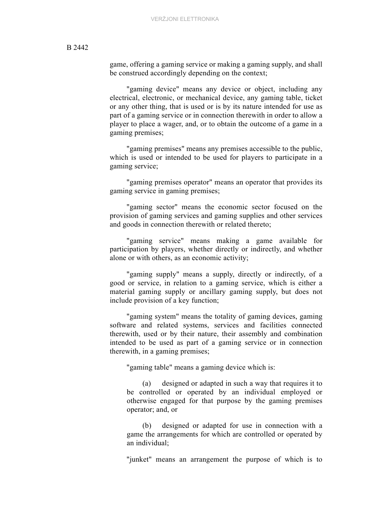game, offering a gaming service or making a gaming supply, and shall be construed accordingly depending on the context;

"gaming device" means any device or object, including any electrical, electronic, or mechanical device, any gaming table, ticket or any other thing, that is used or is by its nature intended for use as part of a gaming service or in connection therewith in order to allow a player to place a wager, and, or to obtain the outcome of a game in a gaming premises;

"gaming premises" means any premises accessible to the public, which is used or intended to be used for players to participate in a gaming service;

"gaming premises operator" means an operator that provides its gaming service in gaming premises;

"gaming sector" means the economic sector focused on the provision of gaming services and gaming supplies and other services and goods in connection therewith or related thereto;

"gaming service" means making a game available for participation by players, whether directly or indirectly, and whether alone or with others, as an economic activity;

"gaming supply" means a supply, directly or indirectly, of a good or service, in relation to a gaming service, which is either a material gaming supply or ancillary gaming supply, but does not include provision of a key function;

"gaming system" means the totality of gaming devices, gaming software and related systems, services and facilities connected therewith, used or by their nature, their assembly and combination intended to be used as part of a gaming service or in connection therewith, in a gaming premises;

"gaming table" means a gaming device which is:

(a) designed or adapted in such a way that requires it to be controlled or operated by an individual employed or otherwise engaged for that purpose by the gaming premises operator; and, or

(b) designed or adapted for use in connection with a game the arrangements for which are controlled or operated by an individual;

"junket" means an arrangement the purpose of which is to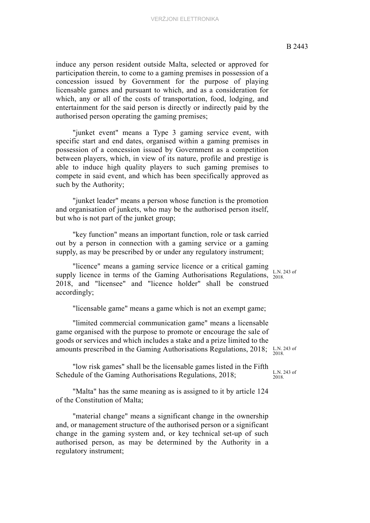induce any person resident outside Malta, selected or approved for participation therein, to come to a gaming premises in possession of a concession issued by Government for the purpose of playing licensable games and pursuant to which, and as a consideration for which, any or all of the costs of transportation, food, lodging, and entertainment for the said person is directly or indirectly paid by the authorised person operating the gaming premises;

"junket event" means a Type 3 gaming service event, with specific start and end dates, organised within a gaming premises in possession of a concession issued by Government as a competition between players, which, in view of its nature, profile and prestige is able to induce high quality players to such gaming premises to compete in said event, and which has been specifically approved as such by the Authority;

"junket leader" means a person whose function is the promotion and organisation of junkets, who may be the authorised person itself, but who is not part of the junket group;

"key function" means an important function, role or task carried out by a person in connection with a gaming service or a gaming supply, as may be prescribed by or under any regulatory instrument;

supply licence in terms of the Gaming Authorisations Regulations,  $\frac{L.N.}{2018}$ "licence" means a gaming service licence or a critical gaming 2018, and "licensee" and "licence holder" shall be construed accordingly;

"licensable game" means a game which is not an exempt game;

"limited commercial communication game" means a licensable game organised with the purpose to promote or encourage the sale of goods or services and which includes a stake and a prize limited to the amounts prescribed in the Gaming Authorisations Regulations, 2018;

"low risk games" shall be the licensable games listed in the Fifth Schedule of the Gaming Authorisations Regulations, 2018;

"Malta" has the same meaning as is assigned to it by article 124 of the Constitution of Malta;

"material change" means a significant change in the ownership and, or management structure of the authorised person or a significant change in the gaming system and, or key technical set-up of such authorised person, as may be determined by the Authority in a regulatory instrument;

L.N. 243 of

L.N. 243 of 2018.

L.N. 243 of 2018.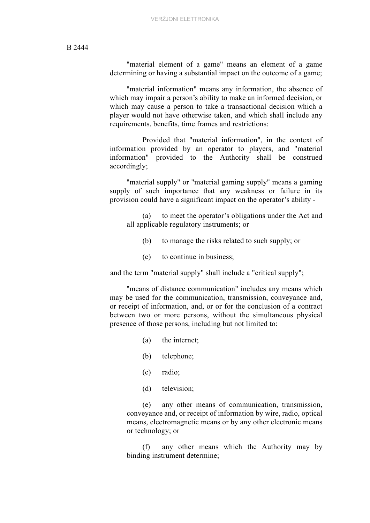"material element of a game" means an element of a game determining or having a substantial impact on the outcome of a game;

"material information" means any information, the absence of which may impair a person's ability to make an informed decision, or which may cause a person to take a transactional decision which a player would not have otherwise taken, and which shall include any requirements, benefits, time frames and restrictions:

Provided that "material information", in the context of information provided by an operator to players, and "material information" provided to the Authority shall be construed accordingly;

"material supply" or "material gaming supply" means a gaming supply of such importance that any weakness or failure in its provision could have a significant impact on the operator's ability -

(a) to meet the operator's obligations under the Act and all applicable regulatory instruments; or

- (b) to manage the risks related to such supply; or
- (c) to continue in business;

and the term "material supply" shall include a "critical supply";

"means of distance communication" includes any means which may be used for the communication, transmission, conveyance and, or receipt of information, and, or or for the conclusion of a contract between two or more persons, without the simultaneous physical presence of those persons, including but not limited to:

- (a) the internet;
- (b) telephone;
- (c) radio;
- (d) television;

(e) any other means of communication, transmission, conveyance and, or receipt of information by wire, radio, optical means, electromagnetic means or by any other electronic means or technology; or

(f) any other means which the Authority may by binding instrument determine;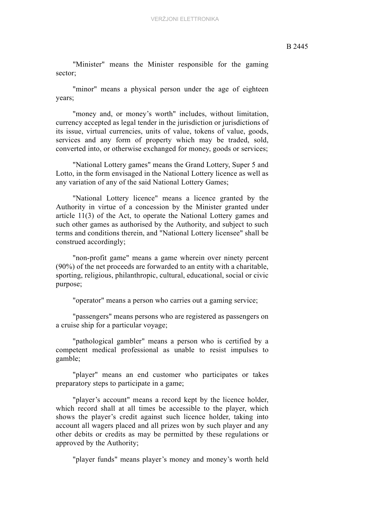"Minister" means the Minister responsible for the gaming sector;

"minor" means a physical person under the age of eighteen years;

"money and, or money's worth" includes, without limitation, currency accepted as legal tender in the jurisdiction or jurisdictions of its issue, virtual currencies, units of value, tokens of value, goods, services and any form of property which may be traded, sold, converted into, or otherwise exchanged for money, goods or services;

"National Lottery games" means the Grand Lottery, Super 5 and Lotto, in the form envisaged in the National Lottery licence as well as any variation of any of the said National Lottery Games;

"National Lottery licence" means a licence granted by the Authority in virtue of a concession by the Minister granted under article 11(3) of the Act, to operate the National Lottery games and such other games as authorised by the Authority, and subject to such terms and conditions therein, and "National Lottery licensee" shall be construed accordingly;

"non-profit game" means a game wherein over ninety percent (90%) of the net proceeds are forwarded to an entity with a charitable, sporting, religious, philanthropic, cultural, educational, social or civic purpose;

"operator" means a person who carries out a gaming service;

"passengers" means persons who are registered as passengers on a cruise ship for a particular voyage;

"pathological gambler" means a person who is certified by a competent medical professional as unable to resist impulses to gamble;

"player" means an end customer who participates or takes preparatory steps to participate in a game;

"player's account" means a record kept by the licence holder, which record shall at all times be accessible to the player, which shows the player's credit against such licence holder, taking into account all wagers placed and all prizes won by such player and any other debits or credits as may be permitted by these regulations or approved by the Authority;

"player funds" means player's money and money's worth held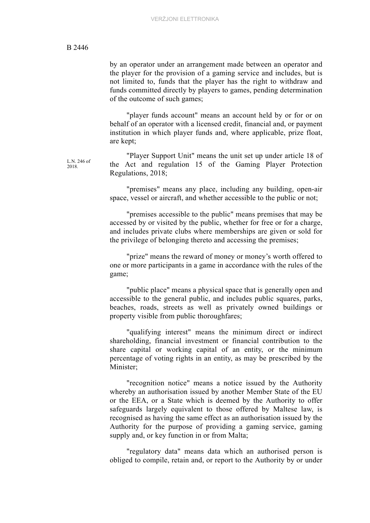L.N. 246 of 2018.

by an operator under an arrangement made between an operator and the player for the provision of a gaming service and includes, but is not limited to, funds that the player has the right to withdraw and funds committed directly by players to games, pending determination of the outcome of such games;

"player funds account" means an account held by or for or on behalf of an operator with a licensed credit, financial and, or payment institution in which player funds and, where applicable, prize float, are kept;

"Player Support Unit" means the unit set up under article 18 of the Act and regulation 15 of the Gaming Player Protection Regulations, 2018;

"premises" means any place, including any building, open-air space, vessel or aircraft, and whether accessible to the public or not;

"premises accessible to the public" means premises that may be accessed by or visited by the public, whether for free or for a charge, and includes private clubs where memberships are given or sold for the privilege of belonging thereto and accessing the premises;

"prize" means the reward of money or money's worth offered to one or more participants in a game in accordance with the rules of the game;

"public place" means a physical space that is generally open and accessible to the general public, and includes public squares, parks, beaches, roads, streets as well as privately owned buildings or property visible from public thoroughfares;

"qualifying interest" means the minimum direct or indirect shareholding, financial investment or financial contribution to the share capital or working capital of an entity, or the minimum percentage of voting rights in an entity, as may be prescribed by the Minister;

"recognition notice" means a notice issued by the Authority whereby an authorisation issued by another Member State of the EU or the EEA, or a State which is deemed by the Authority to offer safeguards largely equivalent to those offered by Maltese law, is recognised as having the same effect as an authorisation issued by the Authority for the purpose of providing a gaming service, gaming supply and, or key function in or from Malta;

"regulatory data" means data which an authorised person is obliged to compile, retain and, or report to the Authority by or under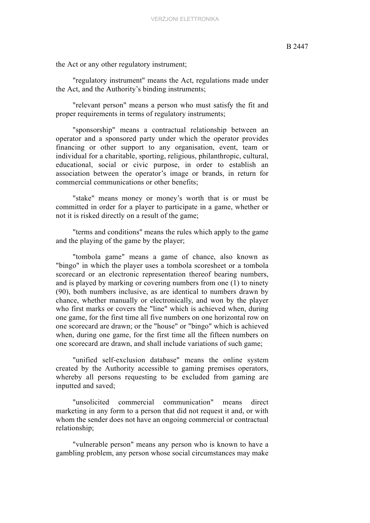the Act or any other regulatory instrument;

"regulatory instrument" means the Act, regulations made under the Act, and the Authority's binding instruments;

"relevant person" means a person who must satisfy the fit and proper requirements in terms of regulatory instruments;

"sponsorship" means a contractual relationship between an operator and a sponsored party under which the operator provides financing or other support to any organisation, event, team or individual for a charitable, sporting, religious, philanthropic, cultural, educational, social or civic purpose, in order to establish an association between the operator's image or brands, in return for commercial communications or other benefits;

"stake" means money or money's worth that is or must be committed in order for a player to participate in a game, whether or not it is risked directly on a result of the game;

"terms and conditions" means the rules which apply to the game and the playing of the game by the player;

"tombola game" means a game of chance, also known as "bingo" in which the player uses a tombola scoresheet or a tombola scorecard or an electronic representation thereof bearing numbers, and is played by marking or covering numbers from one (1) to ninety (90), both numbers inclusive, as are identical to numbers drawn by chance, whether manually or electronically, and won by the player who first marks or covers the "line" which is achieved when, during one game, for the first time all five numbers on one horizontal row on one scorecard are drawn; or the "house" or "bingo" which is achieved when, during one game, for the first time all the fifteen numbers on one scorecard are drawn, and shall include variations of such game;

"unified self-exclusion database" means the online system created by the Authority accessible to gaming premises operators, whereby all persons requesting to be excluded from gaming are inputted and saved;

"unsolicited commercial communication" means direct marketing in any form to a person that did not request it and, or with whom the sender does not have an ongoing commercial or contractual relationship;

"vulnerable person" means any person who is known to have a gambling problem, any person whose social circumstances may make